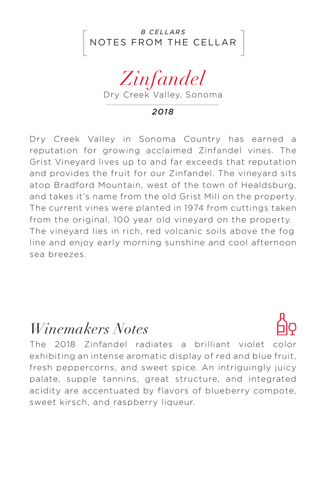



*2018*

Dry Creek Valley in Sonoma Country has earned a reputation for growing acclaimed Zinfandel vines. The Grist Vineyard lives up to and far exceeds that reputation and provides the fruit for our Zinfandel. The vineyard sits atop Bradford Mountain, west of the town of Healdsburg, and takes it's name from the old Grist Mill on the property. The current vines were planted in 1974 from cuttings taken from the original, 100 year old vineyard on the property. The vineyard lies in rich, red volcanic soils above the fog line and enjoy early morning sunshine and cool afternoon sea breezes.

## *Winemakers Notes*

The 2018 Zinfandel radiates a brilliant violet color exhibiting an intense aromatic display of red and blue fruit, fresh peppercorns, and sweet spice. An intriguingly juicy palate, supple tannins, great structure, and integrated acidity are accentuated by flavors of blueberry compote, sweet kirsch, and raspberry liqueur.